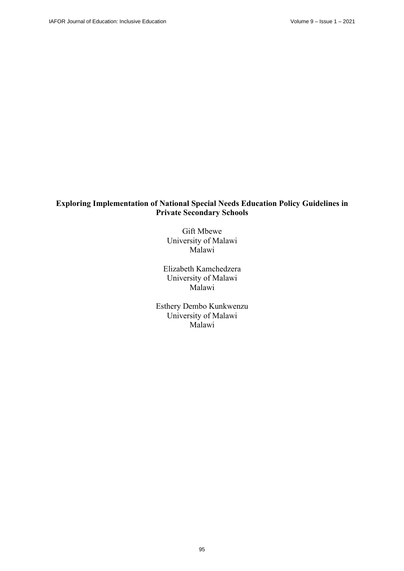# **Exploring Implementation of National Special Needs Education Policy Guidelines in Private Secondary Schools**

Gift Mbewe University of Malawi Malawi

Elizabeth Kamchedzera University of Malawi Malawi

Esthery Dembo Kunkwenzu University of Malawi Malawi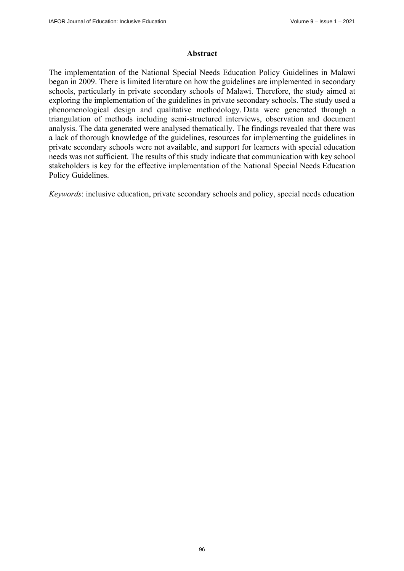#### **Abstract**

The implementation of the National Special Needs Education Policy Guidelines in Malawi began in 2009. There is limited literature on how the guidelines are implemented in secondary schools, particularly in private secondary schools of Malawi. Therefore, the study aimed at exploring the implementation of the guidelines in private secondary schools. The study used a phenomenological design and qualitative methodology. Data were generated through a triangulation of methods including semi-structured interviews, observation and document analysis. The data generated were analysed thematically. The findings revealed that there was a lack of thorough knowledge of the guidelines, resources for implementing the guidelines in private secondary schools were not available, and support for learners with special education needs was not sufficient. The results of this study indicate that communication with key school stakeholders is key for the effective implementation of the National Special Needs Education Policy Guidelines.

*Keywords*: inclusive education, private secondary schools and policy, special needs education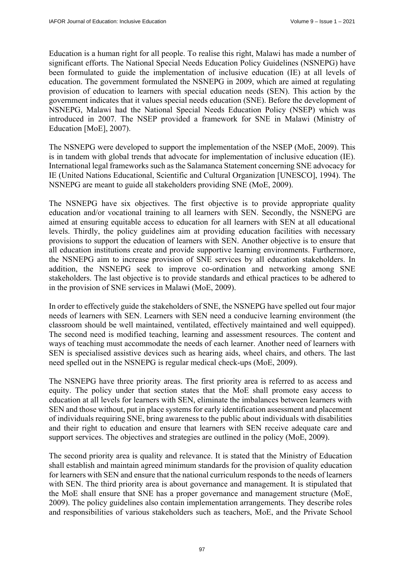Education is a human right for all people. To realise this right, Malawi has made a number of significant efforts. The National Special Needs Education Policy Guidelines (NSNEPG) have been formulated to guide the implementation of inclusive education (IE) at all levels of education. The government formulated the NSNEPG in 2009, which are aimed at regulating provision of education to learners with special education needs (SEN). This action by the government indicates that it values special needs education (SNE). Before the development of NSNEPG, Malawi had the National Special Needs Education Policy (NSEP) which was introduced in 2007. The NSEP provided a framework for SNE in Malawi (Ministry of Education [MoE], 2007).

The NSNEPG were developed to support the implementation of the NSEP (MoE, 2009). This is in tandem with global trends that advocate for implementation of inclusive education (IE). International legal frameworks such as the Salamanca Statement concerning SNE advocacy for IE (United Nations Educational, Scientific and Cultural Organization [UNESCO], 1994). The NSNEPG are meant to guide all stakeholders providing SNE (MoE, 2009).

The NSNEPG have six objectives. The first objective is to provide appropriate quality education and/or vocational training to all learners with SEN. Secondly, the NSNEPG are aimed at ensuring equitable access to education for all learners with SEN at all educational levels. Thirdly, the policy guidelines aim at providing education facilities with necessary provisions to support the education of learners with SEN. Another objective is to ensure that all education institutions create and provide supportive learning environments. Furthermore, the NSNEPG aim to increase provision of SNE services by all education stakeholders. In addition, the NSNEPG seek to improve co-ordination and networking among SNE stakeholders. The last objective is to provide standards and ethical practices to be adhered to in the provision of SNE services in Malawi (MoE, 2009).

In order to effectively guide the stakeholders of SNE, the NSNEPG have spelled out four major needs of learners with SEN. Learners with SEN need a conducive learning environment (the classroom should be well maintained, ventilated, effectively maintained and well equipped). The second need is modified teaching, learning and assessment resources. The content and ways of teaching must accommodate the needs of each learner. Another need of learners with SEN is specialised assistive devices such as hearing aids, wheel chairs, and others. The last need spelled out in the NSNEPG is regular medical check-ups (MoE, 2009).

The NSNEPG have three priority areas. The first priority area is referred to as access and equity. The policy under that section states that the MoE shall promote easy access to education at all levels for learners with SEN, eliminate the imbalances between learners with SEN and those without, put in place systems for early identification assessment and placement of individuals requiring SNE, bring awareness to the public about individuals with disabilities and their right to education and ensure that learners with SEN receive adequate care and support services. The objectives and strategies are outlined in the policy (MoE, 2009).

The second priority area is quality and relevance. It is stated that the Ministry of Education shall establish and maintain agreed minimum standards for the provision of quality education for learners with SEN and ensure that the national curriculum responds to the needs of learners with SEN. The third priority area is about governance and management. It is stipulated that the MoE shall ensure that SNE has a proper governance and management structure (MoE, 2009). The policy guidelines also contain implementation arrangements. They describe roles and responsibilities of various stakeholders such as teachers, MoE, and the Private School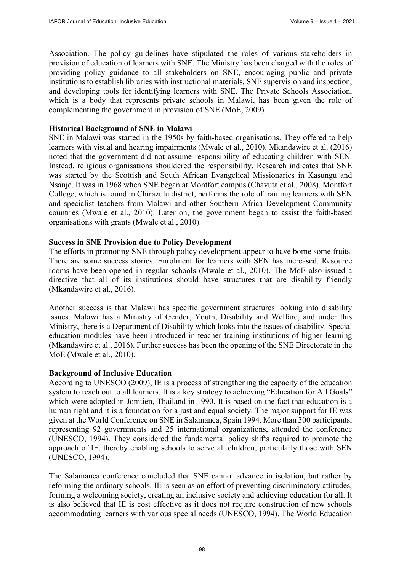Association. The policy guidelines have stipulated the roles of various stakeholders in provision of education of learners with SNE. The Ministry has been charged with the roles of providing policy guidance to all stakeholders on SNE, encouraging public and private institutions to establish libraries with instructional materials, SNE supervision and inspection, and developing tools for identifying learners with SNE. The Private Schools Association, which is a body that represents private schools in Malawi, has been given the role of complementing the government in provision of SNE (MoE, 2009).

#### **Historical Background of SNE in Malawi**

SNE in Malawi was started in the 1950s by faith-based organisations. They offered to help learners with visual and hearing impairments (Mwale et al., 2010). Mkandawire et al. (2016) noted that the government did not assume responsibility of educating children with SEN. Instead, religious organisations shouldered the responsibility. Research indicates that SNE was started by the Scottish and South African Evangelical Missionaries in Kasungu and Nsanje. It was in 1968 when SNE began at Montfort campus (Chavuta et al., 2008). Montfort College, which is found in Chirazulu district, performs the role of training learners with SEN and specialist teachers from Malawi and other Southern Africa Development Community countries (Mwale et al., 2010). Later on, the government began to assist the faith-based organisations with grants (Mwale et al., 2010).

### **Success in SNE Provision due to Policy Development**

The efforts in promoting SNE through policy development appear to have borne some fruits. There are some success stories. Enrolment for learners with SEN has increased. Resource rooms have been opened in regular schools (Mwale et al., 2010). The MoE also issued a directive that all of its institutions should have structures that are disability friendly (Mkandawire et al., 2016).

Another success is that Malawi has specific government structures looking into disability issues. Malawi has a Ministry of Gender, Youth, Disability and Welfare, and under this Ministry, there is a Department of Disability which looks into the issues of disability. Special education modules have been introduced in teacher training institutions of higher learning (Mkandawire et al., 2016). Further success has been the opening of the SNE Directorate in the MoE (Mwale et al., 2010).

#### **Background of Inclusive Education**

According to UNESCO (2009), IE is a process of strengthening the capacity of the education system to reach out to all learners. It is a key strategy to achieving "Education for All Goals" which were adopted in Jomtien, Thailand in 1990. It is based on the fact that education is a human right and it is a foundation for a just and equal society. The major support for IE was given at the World Conference on SNE in Salamanca, Spain 1994. More than 300 participants, representing 92 governments and 25 international organizations, attended the conference (UNESCO, 1994). They considered the fundamental policy shifts required to promote the approach of IE, thereby enabling schools to serve all children, particularly those with SEN (UNESCO, 1994).

The Salamanca conference concluded that SNE cannot advance in isolation, but rather by reforming the ordinary schools. IE is seen as an effort of preventing discriminatory attitudes, forming a welcoming society, creating an inclusive society and achieving education for all. It is also believed that IE is cost effective as it does not require construction of new schools accommodating learners with various special needs (UNESCO, 1994). The World Education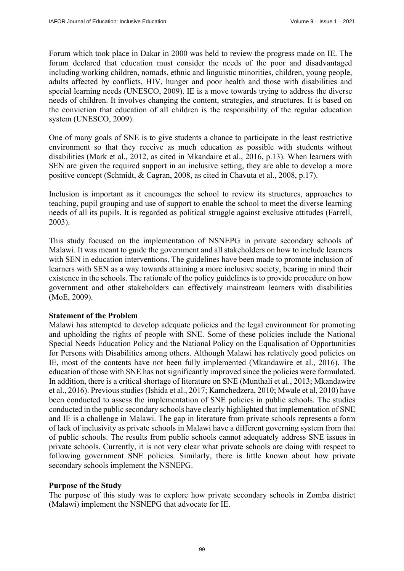Forum which took place in Dakar in 2000 was held to review the progress made on IE. The forum declared that education must consider the needs of the poor and disadvantaged including working children, nomads, ethnic and linguistic minorities, children, young people, adults affected by conflicts, HIV, hunger and poor health and those with disabilities and special learning needs (UNESCO, 2009). IE is a move towards trying to address the diverse needs of children. It involves changing the content, strategies, and structures. It is based on the conviction that education of all children is the responsibility of the regular education system (UNESCO, 2009).

One of many goals of SNE is to give students a chance to participate in the least restrictive environment so that they receive as much education as possible with students without disabilities (Mark et al., 2012, as cited in Mkandaire et al., 2016, p.13). When learners with SEN are given the required support in an inclusive setting, they are able to develop a more positive concept (Schmidt, & Cagran, 2008, as cited in Chavuta et al., 2008, p.17).

Inclusion is important as it encourages the school to review its structures, approaches to teaching, pupil grouping and use of support to enable the school to meet the diverse learning needs of all its pupils. It is regarded as political struggle against exclusive attitudes (Farrell, 2003).

This study focused on the implementation of NSNEPG in private secondary schools of Malawi. It was meant to guide the government and all stakeholders on how to include learners with SEN in education interventions. The guidelines have been made to promote inclusion of learners with SEN as a way towards attaining a more inclusive society, bearing in mind their existence in the schools. The rationale of the policy guidelines is to provide procedure on how government and other stakeholders can effectively mainstream learners with disabilities (MoE, 2009).

#### **Statement of the Problem**

Malawi has attempted to develop adequate policies and the legal environment for promoting and upholding the rights of people with SNE. Some of these policies include the National Special Needs Education Policy and the National Policy on the Equalisation of Opportunities for Persons with Disabilities among others. Although Malawi has relatively good policies on IE, most of the contents have not been fully implemented (Mkandawire et al., 2016). The education of those with SNE has not significantly improved since the policies were formulated. In addition, there is a critical shortage of literature on SNE (Munthali et al., 2013; Mkandawire et al., 2016). Previous studies (Ishida et al., 2017; Kamchedzera, 2010; Mwale et al, 2010) have been conducted to assess the implementation of SNE policies in public schools. The studies conducted in the public secondary schools have clearly highlighted that implementation of SNE and IE is a challenge in Malawi. The gap in literature from private schools represents a form of lack of inclusivity as private schools in Malawi have a different governing system from that of public schools. The results from public schools cannot adequately address SNE issues in private schools. Currently, it is not very clear what private schools are doing with respect to following government SNE policies. Similarly, there is little known about how private secondary schools implement the NSNEPG.

#### **Purpose of the Study**

The purpose of this study was to explore how private secondary schools in Zomba district (Malawi) implement the NSNEPG that advocate for IE.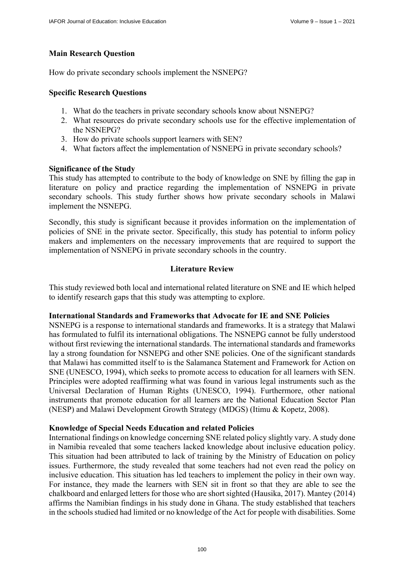## **Main Research Question**

How do private secondary schools implement the NSNEPG?

#### **Specific Research Questions**

- 1. What do the teachers in private secondary schools know about NSNEPG?
- 2. What resources do private secondary schools use for the effective implementation of the NSNEPG?
- 3. How do private schools support learners with SEN?
- 4. What factors affect the implementation of NSNEPG in private secondary schools?

### **Significance of the Study**

This study has attempted to contribute to the body of knowledge on SNE by filling the gap in literature on policy and practice regarding the implementation of NSNEPG in private secondary schools. This study further shows how private secondary schools in Malawi implement the NSNEPG.

Secondly, this study is significant because it provides information on the implementation of policies of SNE in the private sector. Specifically, this study has potential to inform policy makers and implementers on the necessary improvements that are required to support the implementation of NSNEPG in private secondary schools in the country.

## **Literature Review**

This study reviewed both local and international related literature on SNE and IE which helped to identify research gaps that this study was attempting to explore.

#### **International Standards and Frameworks that Advocate for IE and SNE Policies**

NSNEPG is a response to international standards and frameworks. It is a strategy that Malawi has formulated to fulfil its international obligations. The NSNEPG cannot be fully understood without first reviewing the international standards. The international standards and frameworks lay a strong foundation for NSNEPG and other SNE policies. One of the significant standards that Malawi has committed itself to is the Salamanca Statement and Framework for Action on SNE (UNESCO, 1994), which seeks to promote access to education for all learners with SEN. Principles were adopted reaffirming what was found in various legal instruments such as the Universal Declaration of Human Rights (UNESCO, 1994). Furthermore, other national instruments that promote education for all learners are the National Education Sector Plan (NESP) and Malawi Development Growth Strategy (MDGS) (Itimu & Kopetz, 2008).

#### **Knowledge of Special Needs Education and related Policies**

International findings on knowledge concerning SNE related policy slightly vary. A study done in Namibia revealed that some teachers lacked knowledge about inclusive education policy. This situation had been attributed to lack of training by the Ministry of Education on policy issues. Furthermore, the study revealed that some teachers had not even read the policy on inclusive education. This situation has led teachers to implement the policy in their own way. For instance, they made the learners with SEN sit in front so that they are able to see the chalkboard and enlarged letters for those who are short sighted (Hausika, 2017). Mantey (2014) affirms the Namibian findings in his study done in Ghana. The study established that teachers in the schools studied had limited or no knowledge of the Act for people with disabilities. Some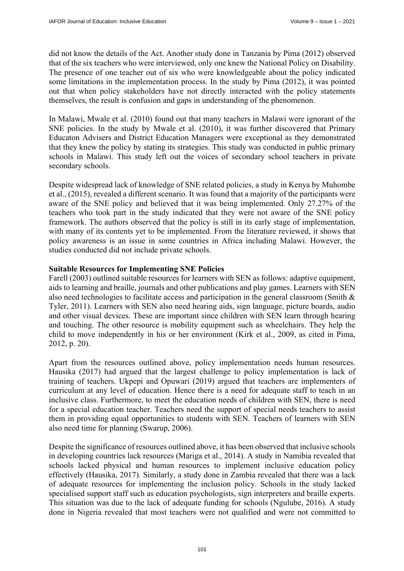did not know the details of the Act. Another study done in Tanzania by Pima (2012) observed that of the six teachers who were interviewed, only one knew the National Policy on Disability. The presence of one teacher out of six who were knowledgeable about the policy indicated some limitations in the implementation process. In the study by Pima (2012), it was pointed out that when policy stakeholders have not directly interacted with the policy statements themselves, the result is confusion and gaps in understanding of the phenomenon.

In Malawi, Mwale et al. (2010) found out that many teachers in Malawi were ignorant of the SNE policies. In the study by Mwale et al. (2010), it was further discovered that Primary Educaton Advisers and District Education Managers were exceptional as they demonstrated that they knew the policy by stating its strategies. This study was conducted in public primary schools in Malawi. This study left out the voices of secondary school teachers in private secondary schools.

Despite widespread lack of knowledge of SNE related policies, a study in Kenya by Muhombe et al., (2015), revealed a different scenario. It was found that a majority of the participants were aware of the SNE policy and believed that it was being implemented. Only 27.27% of the teachers who took part in the study indicated that they were not aware of the SNE policy framework. The authors observed that the policy is still in its early stage of implementation, with many of its contents yet to be implemented. From the literature reviewed, it shows that policy awareness is an issue in some countries in Africa including Malawi. However, the studies conducted did not include private schools.

#### **Suitable Resources for Implementing SNE Policies**

Farell (2003) outlined suitable resources for learners with SEN as follows: adaptive equipment, aids to learning and braille, journals and other publications and play games. Learners with SEN also need technologies to facilitate access and participation in the general classroom (Smith & Tyler, 2011). Learners with SEN also need hearing aids, sign language, picture boards, audio and other visual devices. These are important since children with SEN learn through hearing and touching. The other resource is mobility equipment such as wheelchairs. They help the child to move independently in his or her environment (Kirk et al., 2009, as cited in Pima, 2012, p. 20).

Apart from the resources outlined above, policy implementation needs human resources. Hausika (2017) had argued that the largest challenge to policy implementation is lack of training of teachers. Ukpepi and Opuwari (2019) argued that teachers are implementers of curriculum at any level of education. Hence there is a need for adequate staff to teach in an inclusive class. Furthermore, to meet the education needs of children with SEN, there is need for a special education teacher. Teachers need the support of special needs teachers to assist them in providing equal opportunities to students with SEN. Teachers of learners with SEN also need time for planning (Swarup, 2006).

Despite the significance of resources outlined above, it has been observed that inclusive schools in developing countries lack resources (Mariga et al., 2014). A study in Namibia revealed that schools lacked physical and human resources to implement inclusive education policy effectively (Hausika, 2017). Similarly, a study done in Zambia revealed that there was a lack of adequate resources for implementing the inclusion policy. Schools in the study lacked specialised support staff such as education psychologists, sign interpreters and braille experts. This situation was due to the lack of adequate funding for schools (Ngulube, 2016). A study done in Nigeria revealed that most teachers were not qualified and were not committed to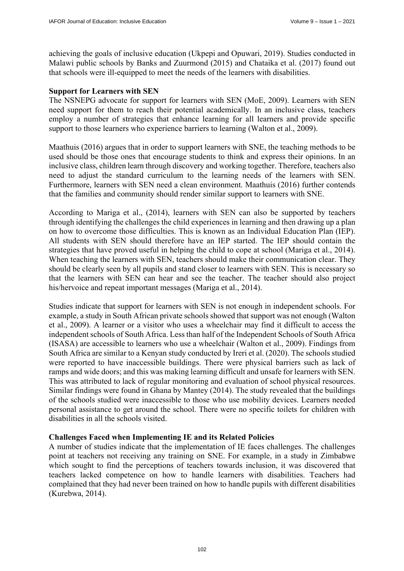achieving the goals of inclusive education (Ukpepi and Opuwari, 2019). Studies conducted in Malawi public schools by Banks and Zuurmond (2015) and Chataika et al. (2017) found out that schools were ill-equipped to meet the needs of the learners with disabilities.

## **Support for Learners with SEN**

The NSNEPG advocate for support for learners with SEN (MoE, 2009). Learners with SEN need support for them to reach their potential academically. In an inclusive class, teachers employ a number of strategies that enhance learning for all learners and provide specific support to those learners who experience barriers to learning (Walton et al., 2009).

Maathuis (2016) argues that in order to support learners with SNE, the teaching methods to be used should be those ones that encourage students to think and express their opinions. In an inclusive class, children learn through discovery and working together. Therefore, teachers also need to adjust the standard curriculum to the learning needs of the learners with SEN. Furthermore, learners with SEN need a clean environment. Maathuis (2016) further contends that the families and community should render similar support to learners with SNE.

According to Mariga et al., (2014), learners with SEN can also be supported by teachers through identifying the challenges the child experiences in learning and then drawing up a plan on how to overcome those difficulties. This is known as an Individual Education Plan (IEP). All students with SEN should therefore have an IEP started. The IEP should contain the strategies that have proved useful in helping the child to cope at school (Mariga et al., 2014). When teaching the learners with SEN, teachers should make their communication clear. They should be clearly seen by all pupils and stand closer to learners with SEN. This is necessary so that the learners with SEN can hear and see the teacher. The teacher should also project his/hervoice and repeat important messages (Mariga et al., 2014).

Studies indicate that support for learners with SEN is not enough in independent schools. For example, a study in South African private schools showed that support was not enough (Walton et al., 2009). A learner or a visitor who uses a wheelchair may find it difficult to access the independent schools of South Africa. Less than half of the Independent Schools of South Africa (ISASA) are accessible to learners who use a wheelchair (Walton et al., 2009). Findings from South Africa are similar to a Kenyan study conducted by Ireri et al. (2020). The schools studied were reported to have inaccessible buildings. There were physical barriers such as lack of ramps and wide doors; and this was making learning difficult and unsafe for learners with SEN. This was attributed to lack of regular monitoring and evaluation of school physical resources. Similar findings were found in Ghana by Mantey (2014). The study revealed that the buildings of the schools studied were inaccessible to those who use mobility devices. Learners needed personal assistance to get around the school. There were no specific toilets for children with disabilities in all the schools visited.

#### **Challenges Faced when Implementing IE and its Related Policies**

A number of studies indicate that the implementation of IE faces challenges. The challenges point at teachers not receiving any training on SNE. For example, in a study in Zimbabwe which sought to find the perceptions of teachers towards inclusion, it was discovered that teachers lacked competence on how to handle learners with disabilities. Teachers had complained that they had never been trained on how to handle pupils with different disabilities (Kurebwa, 2014).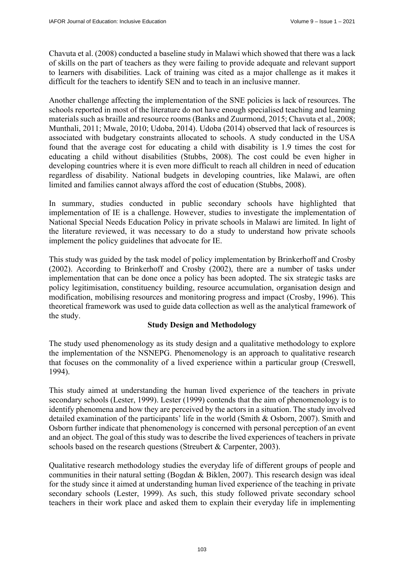Chavuta et al. (2008) conducted a baseline study in Malawi which showed that there was a lack of skills on the part of teachers as they were failing to provide adequate and relevant support to learners with disabilities. Lack of training was cited as a major challenge as it makes it difficult for the teachers to identify SEN and to teach in an inclusive manner.

Another challenge affecting the implementation of the SNE policies is lack of resources. The schools reported in most of the literature do not have enough specialised teaching and learning materials such as braille and resource rooms (Banks and Zuurmond, 2015; Chavuta et al., 2008; Munthali, 2011; Mwale, 2010; Udoba, 2014). Udoba (2014) observed that lack of resources is associated with budgetary constraints allocated to schools. A study conducted in the USA found that the average cost for educating a child with disability is 1.9 times the cost for educating a child without disabilities (Stubbs, 2008). The cost could be even higher in developing countries where it is even more difficult to reach all children in need of education regardless of disability. National budgets in developing countries, like Malawi, are often limited and families cannot always afford the cost of education (Stubbs, 2008).

In summary, studies conducted in public secondary schools have highlighted that implementation of IE is a challenge. However, studies to investigate the implementation of National Special Needs Education Policy in private schools in Malawi are limited. In light of the literature reviewed, it was necessary to do a study to understand how private schools implement the policy guidelines that advocate for IE.

This study was guided by the task model of policy implementation by Brinkerhoff and Crosby (2002). According to Brinkerhoff and Crosby (2002), there are a number of tasks under implementation that can be done once a policy has been adopted. The six strategic tasks are policy legitimisation, constituency building, resource accumulation, organisation design and modification, mobilising resources and monitoring progress and impact (Crosby, 1996). This theoretical framework was used to guide data collection as well as the analytical framework of the study.

## **Study Design and Methodology**

The study used phenomenology as its study design and a qualitative methodology to explore the implementation of the NSNEPG. Phenomenology is an approach to qualitative research that focuses on the commonality of a lived experience within a particular group (Creswell, 1994).

This study aimed at understanding the human lived experience of the teachers in private secondary schools (Lester, 1999). Lester (1999) contends that the aim of phenomenology is to identify phenomena and how they are perceived by the actors in a situation. The study involved detailed examination of the participants' life in the world (Smith & Osborn, 2007). Smith and Osborn further indicate that phenomenology is concerned with personal perception of an event and an object. The goal of this study was to describe the lived experiences of teachers in private schools based on the research questions (Streubert & Carpenter, 2003).

Qualitative research methodology studies the everyday life of different groups of people and communities in their natural setting (Bogdan & Biklen, 2007). This research design was ideal for the study since it aimed at understanding human lived experience of the teaching in private secondary schools (Lester, 1999). As such, this study followed private secondary school teachers in their work place and asked them to explain their everyday life in implementing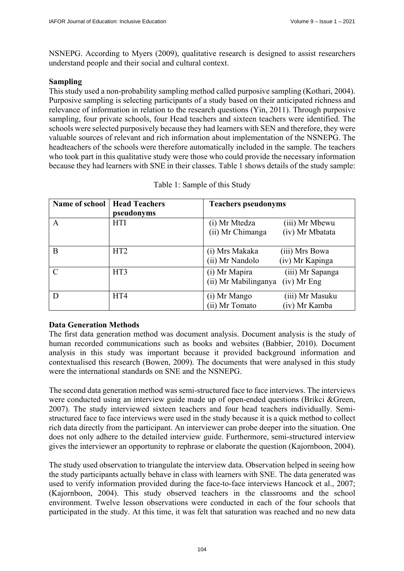NSNEPG. According to Myers (2009), qualitative research is designed to assist researchers understand people and their social and cultural context.

### **Sampling**

This study used a non-probability sampling method called purposive sampling (Kothari, 2004). Purposive sampling is selecting participants of a study based on their anticipated richness and relevance of information in relation to the research questions (Yin, 2011). Through purposive sampling, four private schools, four Head teachers and sixteen teachers were identified. The schools were selected purposively because they had learners with SEN and therefore, they were valuable sources of relevant and rich information about implementation of the NSNEPG. The headteachers of the schools were therefore automatically included in the sample. The teachers who took part in this qualitative study were those who could provide the necessary information because they had learners with SNE in their classes. Table 1 shows details of the study sample:

| Name of school | <b>Head Teachers</b> | <b>Teachers pseudonyms</b>            |  |  |
|----------------|----------------------|---------------------------------------|--|--|
|                | pseudonyms           |                                       |  |  |
| A              | <b>HTI</b>           | (i) Mr Mtedza<br>(iii) Mr Mbewu       |  |  |
|                |                      | (ii) Mr Chimanga<br>(iv) Mr Mbatata   |  |  |
| B              | HT2                  | (i) Mrs Makaka<br>(iii) Mrs Bowa      |  |  |
|                |                      | (ii) Mr Nandolo<br>(iv) Mr Kapinga    |  |  |
| $\Gamma$       | HT3                  | (i) Mr Mapira<br>(iii) Mr Sapanga     |  |  |
|                |                      | (ii) Mr Mabilinganya<br>$(iv)$ Mr Eng |  |  |
| D              | HT4                  | (i) Mr Mango<br>(iii) Mr Masuku       |  |  |
|                |                      | (ii) Mr Tomato<br>(iv) Mr Kamba       |  |  |

|  |  | Table 1: Sample of this Study |  |  |
|--|--|-------------------------------|--|--|
|--|--|-------------------------------|--|--|

## **Data Generation Methods**

The first data generation method was document analysis. Document analysis is the study of human recorded communications such as books and websites (Babbier, 2010). Document analysis in this study was important because it provided background information and contextualised this research (Bowen, 2009). The documents that were analysed in this study were the international standards on SNE and the NSNEPG.

The second data generation method was semi-structured face to face interviews. The interviews were conducted using an interview guide made up of open-ended questions (Brikci &Green, 2007). The study interviewed sixteen teachers and four head teachers individually. Semistructured face to face interviews were used in the study because it is a quick method to collect rich data directly from the participant. An interviewer can probe deeper into the situation. One does not only adhere to the detailed interview guide. Furthermore, semi-structured interview gives the interviewer an opportunity to rephrase or elaborate the question (Kajornboon, 2004).

The study used observation to triangulate the interview data. Observation helped in seeing how the study participants actually behave in class with learners with SNE. The data generated was used to verify information provided during the face-to-face interviews Hancock et al., 2007; (Kajornboon, 2004). This study observed teachers in the classrooms and the school environment. Twelve lesson observations were conducted in each of the four schools that participated in the study. At this time, it was felt that saturation was reached and no new data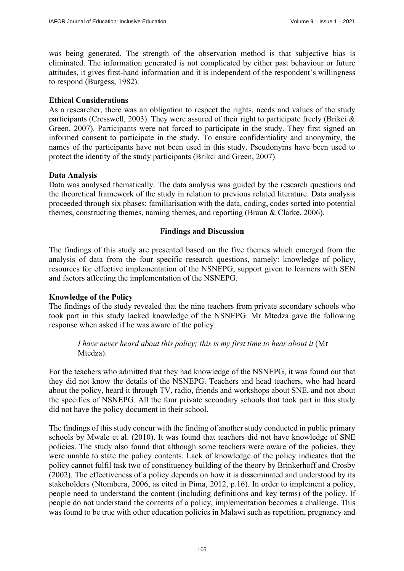was being generated. The strength of the observation method is that subjective bias is eliminated. The information generated is not complicated by either past behaviour or future attitudes, it gives first-hand information and it is independent of the respondent's willingness to respond (Burgess, 1982).

### **Ethical Considerations**

As a researcher, there was an obligation to respect the rights, needs and values of the study participants (Cresswell, 2003). They were assured of their right to participate freely (Brikci & Green, 2007). Participants were not forced to participate in the study. They first signed an informed consent to participate in the study. To ensure confidentiality and anonymity, the names of the participants have not been used in this study. Pseudonyms have been used to protect the identity of the study participants (Brikci and Green, 2007)

### **Data Analysis**

Data was analysed thematically. The data analysis was guided by the research questions and the theoretical framework of the study in relation to previous related literature. Data analysis proceeded through six phases: familiarisation with the data, coding, codes sorted into potential themes, constructing themes, naming themes, and reporting (Braun & Clarke, 2006).

### **Findings and Discussion**

The findings of this study are presented based on the five themes which emerged from the analysis of data from the four specific research questions, namely: knowledge of policy, resources for effective implementation of the NSNEPG, support given to learners with SEN and factors affecting the implementation of the NSNEPG.

## **Knowledge of the Policy**

The findings of the study revealed that the nine teachers from private secondary schools who took part in this study lacked knowledge of the NSNEPG. Mr Mtedza gave the following response when asked if he was aware of the policy:

*I have never heard about this policy; this is my first time to hear about it (Mr* Mtedza).

For the teachers who admitted that they had knowledge of the NSNEPG, it was found out that they did not know the details of the NSNEPG. Teachers and head teachers, who had heard about the policy, heard it through TV, radio, friends and workshops about SNE, and not about the specifics of NSNEPG. All the four private secondary schools that took part in this study did not have the policy document in their school.

The findings of this study concur with the finding of another study conducted in public primary schools by Mwale et al. (2010). It was found that teachers did not have knowledge of SNE policies. The study also found that although some teachers were aware of the policies, they were unable to state the policy contents. Lack of knowledge of the policy indicates that the policy cannot fulfil task two of constituency building of the theory by Brinkerhoff and Crosby (2002). The effectiveness of a policy depends on how it is disseminated and understood by its stakeholders (Ntombera, 2006, as cited in Pima, 2012, p.16). In order to implement a policy, people need to understand the content (including definitions and key terms) of the policy. If people do not understand the contents of a policy, implementation becomes a challenge. This was found to be true with other education policies in Malawi such as repetition, pregnancy and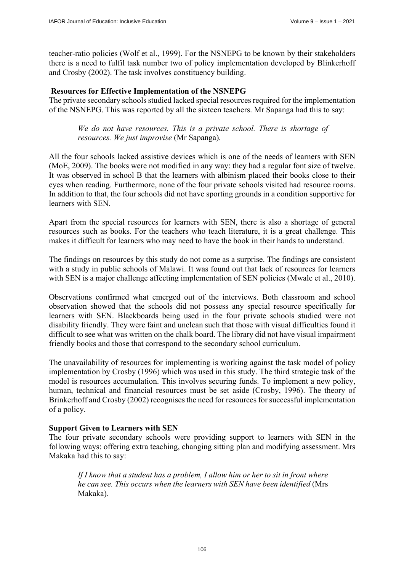teacher-ratio policies (Wolf et al., 1999). For the NSNEPG to be known by their stakeholders there is a need to fulfil task number two of policy implementation developed by Blinkerhoff and Crosby (2002). The task involves constituency building.

#### **Resources for Effective Implementation of the NSNEPG**

The private secondary schools studied lacked special resources required for the implementation of the NSNEPG. This was reported by all the sixteen teachers. Mr Sapanga had this to say:

*We do not have resources. This is a private school. There is shortage of resources. We just improvise* (Mr Sapanga)*.* 

All the four schools lacked assistive devices which is one of the needs of learners with SEN (MoE, 2009). The books were not modified in any way: they had a regular font size of twelve. It was observed in school B that the learners with albinism placed their books close to their eyes when reading. Furthermore, none of the four private schools visited had resource rooms. In addition to that, the four schools did not have sporting grounds in a condition supportive for learners with SEN.

Apart from the special resources for learners with SEN, there is also a shortage of general resources such as books. For the teachers who teach literature, it is a great challenge. This makes it difficult for learners who may need to have the book in their hands to understand.

The findings on resources by this study do not come as a surprise. The findings are consistent with a study in public schools of Malawi. It was found out that lack of resources for learners with SEN is a major challenge affecting implementation of SEN policies (Mwale et al., 2010).

Observations confirmed what emerged out of the interviews. Both classroom and school observation showed that the schools did not possess any special resource specifically for learners with SEN. Blackboards being used in the four private schools studied were not disability friendly. They were faint and unclean such that those with visual difficulties found it difficult to see what was written on the chalk board. The library did not have visual impairment friendly books and those that correspond to the secondary school curriculum.

The unavailability of resources for implementing is working against the task model of policy implementation by Crosby (1996) which was used in this study. The third strategic task of the model is resources accumulation. This involves securing funds. To implement a new policy, human, technical and financial resources must be set aside (Crosby, 1996). The theory of Brinkerhoff and Crosby (2002) recognises the need for resources for successful implementation of a policy.

#### **Support Given to Learners with SEN**

The four private secondary schools were providing support to learners with SEN in the following ways: offering extra teaching, changing sitting plan and modifying assessment. Mrs Makaka had this to say:

*If I know that a student has a problem, I allow him or her to sit in front where he can see. This occurs when the learners with SEN have been identified* (Mrs Makaka).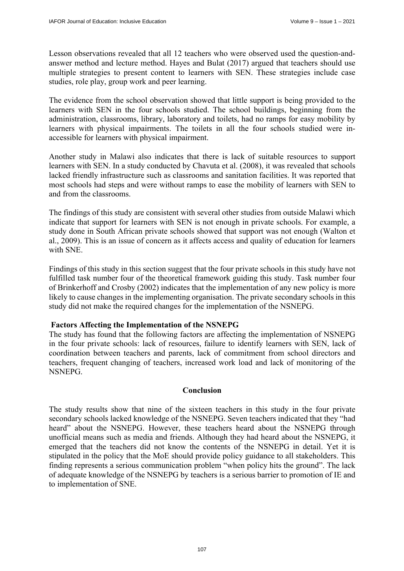Lesson observations revealed that all 12 teachers who were observed used the question-andanswer method and lecture method. Hayes and Bulat (2017) argued that teachers should use multiple strategies to present content to learners with SEN. These strategies include case studies, role play, group work and peer learning.

The evidence from the school observation showed that little support is being provided to the learners with SEN in the four schools studied. The school buildings, beginning from the administration, classrooms, library, laboratory and toilets, had no ramps for easy mobility by learners with physical impairments. The toilets in all the four schools studied were inaccessible for learners with physical impairment.

Another study in Malawi also indicates that there is lack of suitable resources to support learners with SEN. In a study conducted by Chavuta et al. (2008), it was revealed that schools lacked friendly infrastructure such as classrooms and sanitation facilities. It was reported that most schools had steps and were without ramps to ease the mobility of learners with SEN to and from the classrooms.

The findings of this study are consistent with several other studies from outside Malawi which indicate that support for learners with SEN is not enough in private schools. For example, a study done in South African private schools showed that support was not enough (Walton et al., 2009). This is an issue of concern as it affects access and quality of education for learners with SNE.

Findings of this study in this section suggest that the four private schools in this study have not fulfilled task number four of the theoretical framework guiding this study. Task number four of Brinkerhoff and Crosby (2002) indicates that the implementation of any new policy is more likely to cause changes in the implementing organisation. The private secondary schools in this study did not make the required changes for the implementation of the NSNEPG.

#### **Factors Affecting the Implementation of the NSNEPG**

The study has found that the following factors are affecting the implementation of NSNEPG in the four private schools: lack of resources, failure to identify learners with SEN, lack of coordination between teachers and parents, lack of commitment from school directors and teachers, frequent changing of teachers, increased work load and lack of monitoring of the NSNEPG.

#### **Conclusion**

The study results show that nine of the sixteen teachers in this study in the four private secondary schools lacked knowledge of the NSNEPG. Seven teachers indicated that they "had heard" about the NSNEPG. However, these teachers heard about the NSNEPG through unofficial means such as media and friends. Although they had heard about the NSNEPG, it emerged that the teachers did not know the contents of the NSNEPG in detail. Yet it is stipulated in the policy that the MoE should provide policy guidance to all stakeholders. This finding represents a serious communication problem "when policy hits the ground". The lack of adequate knowledge of the NSNEPG by teachers is a serious barrier to promotion of IE and to implementation of SNE.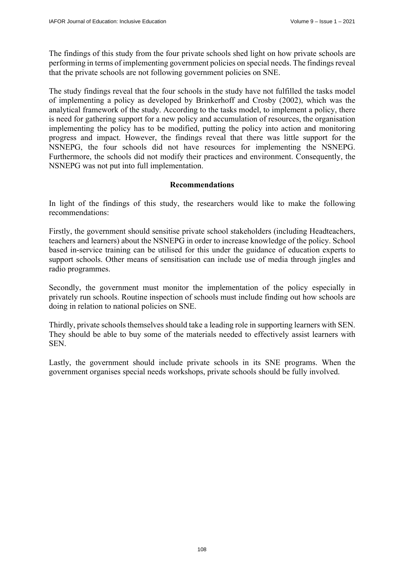The findings of this study from the four private schools shed light on how private schools are performing in terms of implementing government policies on special needs. The findings reveal that the private schools are not following government policies on SNE.

The study findings reveal that the four schools in the study have not fulfilled the tasks model of implementing a policy as developed by Brinkerhoff and Crosby (2002), which was the analytical framework of the study. According to the tasks model, to implement a policy, there is need for gathering support for a new policy and accumulation of resources, the organisation implementing the policy has to be modified, putting the policy into action and monitoring progress and impact. However, the findings reveal that there was little support for the NSNEPG, the four schools did not have resources for implementing the NSNEPG. Furthermore, the schools did not modify their practices and environment. Consequently, the NSNEPG was not put into full implementation.

## **Recommendations**

In light of the findings of this study, the researchers would like to make the following recommendations:

Firstly, the government should sensitise private school stakeholders (including Headteachers, teachers and learners) about the NSNEPG in order to increase knowledge of the policy. School based in-service training can be utilised for this under the guidance of education experts to support schools. Other means of sensitisation can include use of media through jingles and radio programmes.

Secondly, the government must monitor the implementation of the policy especially in privately run schools. Routine inspection of schools must include finding out how schools are doing in relation to national policies on SNE.

Thirdly, private schools themselves should take a leading role in supporting learners with SEN. They should be able to buy some of the materials needed to effectively assist learners with SEN.

Lastly, the government should include private schools in its SNE programs. When the government organises special needs workshops, private schools should be fully involved.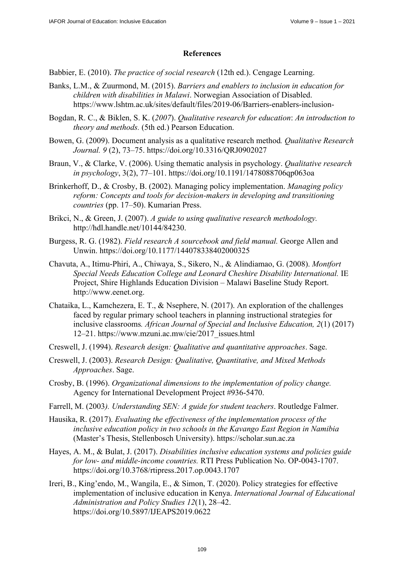## **References**

- Babbier, E. (2010). *The practice of social research* (12th ed.). Cengage Learning.
- Banks, L.M., & Zuurmond, M. (2015). *Barriers and enablers to inclusion in education for children with disabilities in Malawi*. Norwegian Association of Disabled. [https://www.lshtm.ac.uk/sites/default/files/2019-06/Barriers-enablers-inclusion-](https://www.lshtm.ac.uk/sites/default/files/2019-06/Barriers-enablers-inclusion-Bogdan)
- [Bogdan, R.](https://www.lshtm.ac.uk/sites/default/files/2019-06/Barriers-enablers-inclusion-Bogdan) C., & Biklen, S. K. (*2007*). *Qualitative research for education*: *An introduction to theory and methods.* (5th ed.) Pearson Education.
- Bowen, G. (2009). Document analysis as a qualitative research method*. Qualitative Research Journal. 9* (2), 73–75.<https://doi.org/10.3316/QRJ0902027>
- Braun, V., & Clarke, V. (2006). Using thematic analysis in psychology. *Qualitative research in psychology*, 3(2), 77–101.<https://doi.org/10.1191/1478088706qp063oa>
- Brinkerhoff, D., & Crosby, B. (2002). Managing policy implementation. *Managing policy reform: Concepts and tools for decision-makers in developing and transitioning countries* (pp. 17–50). Kumarian Press.
- Brikci, N., & Green, J. (2007). *A guide to using qualitative research methodology.* [http://hdl.handle.net/10144/84230.](http://hdl.handle.net/10144/84230)
- Burgess, R. G. (1982). *Field research A sourcebook and field manual.* George Allen and Unwin. <https://doi.org/10.1177/144078338402000325>
- Chavuta, A., Itimu-Phiri, A., Chiwaya, S., Sikero, N., & Alindiamao, G. (2008). *Montfort Special Needs Education College and Leonard Cheshire Disability International.* IE Project, Shire Highlands Education Division *–* Malawi Baseline Study Report. [http://www.eenet.org.](http://www.eenet.org)
- Chataika, L., Kamchezera, E. T., & Nsephere, N. (2017). An exploration of the challenges faced by regular primary school teachers in planning instructional strategies for inclusive classrooms*. African Journal of Special and Inclusive Education, 2*(1) (2017) 12–21. [https://www.mzuni.ac.mw/cie/2017\\_issues.html](https://www.mzuni.ac.mw/cie/2017_issues.html)
- Creswell, J. (1994). *Research design: Qualitative and quantitative approaches*. Sage.
- Creswell, J. (2003). *Research Design: Qualitative, Quantitative, and Mixed Methods Approaches*. Sage.
- Crosby, B. (1996). *Organizational dimensions to the implementation of policy change.*  Agency for International Development Project #936-5470.
- Farrell, M. (2003*). Understanding SEN: A guide for student teachers*. Routledge Falmer.
- Hausika, R. (2017). *Evaluating the effectiveness of the implementation process of the inclusive education policy in two schools in the Kavango East Region in Namibia* (Master's Thesis, Stellenbosch University).<https://scholar.sun.ac.za>
- Hayes, A. M., & Bulat, J. (2017). *Disabilities inclusive education systems and policies guide for low- and middle-income countries.* RTI Press Publication No. OP-0043-1707. <https://doi.org/10.3768/rtipress.2017.op.0043.1707>
- Ireri, B., King'endo, M., Wangila, E., & Simon, T. (2020). Policy strategies for effective implementation of inclusive education in Kenya. *International Journal of Educational Administration and Policy Studies 12*(1), 28–42. <https://doi.org/10.5897/IJEAPS2019.0622>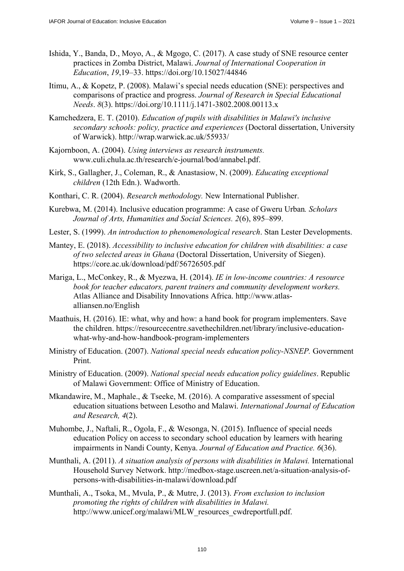- Ishida, Y., Banda, D., Moyo, A., & Mgogo, C. (2017). A case study of SNE resource center practices in Zomba District, Malawi. *Journal of International Cooperation in Education*, *19*,19–33. <https://doi.org/10.15027/44846>
- Itimu, A., & Kopetz, P. (2008). Malawi's special needs education (SNE): perspectives and comparisons of practice and progress. *Journal of Research in Special Educational Needs*. *8*(3).<https://doi.org/10.1111/j.1471-3802.2008.00113.x>
- Kamchedzera, E. T. (2010). *Education of pupils with disabilities in Malawi's inclusive secondary schools: policy, practice and experiences* (Doctoral dissertation, University of Warwick). <http://wrap.warwick.ac.uk/55933/>
- Kajornboon, A. (2004). *Using interviews as research instruments.*  [www.culi.chula.ac.th/research/e-journal/bod/annabel.pdf.](http://www.culi.chula.ac.th/research/e-journal/bod/annabel.pdf)
- Kirk, S., Gallagher, J., Coleman, R., & Anastasiow, N. (2009). *Educating exceptional children* (12th Edn.). Wadworth.
- Konthari, C. R. (2004). *Research methodology.* New International Publisher.
- Kurebwa, M. (2014). Inclusive education programme: A case of Gweru Urban*. Scholars Journal of Arts, Humanities and Social Sciences. 2*(6), 895–899.
- Lester, S. (1999). *An introduction to phenomenological research*. Stan Lester Developments.
- Mantey, E. (2018). *Accessibility to inclusive education for children with disabilities: a case of two selected areas in Ghana* (Doctoral Dissertation, University of Siegen). <https://core.ac.uk/download/pdf/56726505.pdf>
- Mariga, L., McConkey, R., & Myezwa, H. (2014). *IE in low-income countries: A resource book for teacher educators, parent trainers and community development workers.*  [Atlas Alliance and Disability Innovations Africa. http://www.atlas](http://www.atlas-alliansen.no/English)alliansen.[no/English](http://www.atlas-alliansen.no/English)
- Maathuis, H. (2016). IE: what, why and how: a hand book for program implementers. Save [the children. https://resourcecentre.savethechildren.net/library/inclusive-education](https://resourcecentre.savethechildren.net/library/inclusive-education-what-why-and-how-handbook-program-implementers)what[-why-and-how-handbook-program-implementers](https://resourcecentre.savethechildren.net/library/inclusive-education-what-why-and-how-handbook-program-implementers)
- Ministry of Education. (2007). *National special needs education policy-NSNEP.* Government Print.
- Ministry of Education. (2009). *National special needs education policy guidelines*. Republic of Malawi Government: Office of Ministry of Education.
- Mkandawire, M., Maphale., & Tseeke, M. (2016). A comparative assessment of special education situations between Lesotho and Malawi. *International Journal of Education and Research, 4*(2).
- Muhombe, J., Naftali, R., Ogola, F., & Wesonga, N. (2015). Influence of special needs education Policy on access to secondary school education by learners with hearing impairments in Nandi County, Kenya. *Journal of Education and Practice. 6*(36).
- Munthali, A. (2011). *A situation analysis of persons with disabilities in Malawi.* International [Household Survey Network. http://medbox-stage.uscreen.net/a-situation-analysis-of](http://medbox-stage.uscreen.net/a-situation-analysis-of-persons-with-disabilities-in-malawi/download.pdf)persons-[with-disabilities-in-malawi/download.pdf](http://medbox-stage.uscreen.net/a-situation-analysis-of-persons-with-disabilities-in-malawi/download.pdf)
- Munthali, A., Tsoka, M., Mvula, P., & Mutre, J. (2013). *From exclusion to inclusion promoting the rights of children with disabilities in Malawi.* http://www.unicef.org/malawi/MLW\_resources\_cwdreportfull.pdf.